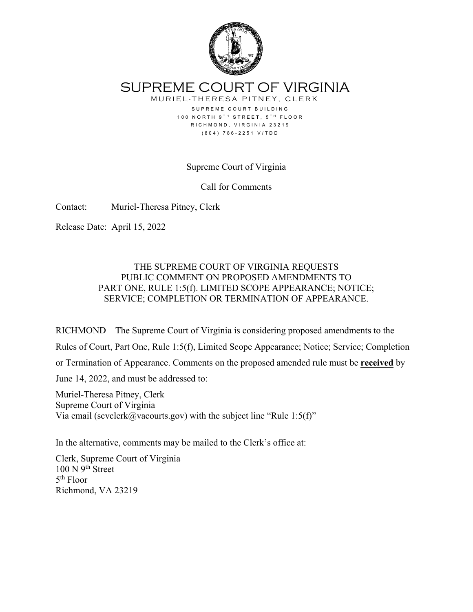

SUPREME COURT OF VIRGINIA

MURIEL-THERESA PITNEY, CLERK SUPREME COURT BUILDING 100 NORTH 9TH STREET, 5TH FLOOR RICHMOND, VIRGINIA 23219 (804) 786-2251 V/TDD

Supreme Court of Virginia

Call for Comments

Contact: Muriel-Theresa Pitney, Clerk

Release Date: April 15, 2022

## THE SUPREME COURT OF VIRGINIA REQUESTS PUBLIC COMMENT ON PROPOSED AMENDMENTS TO PART ONE, RULE 1:5(f). LIMITED SCOPE APPEARANCE; NOTICE; SERVICE; COMPLETION OR TERMINATION OF APPEARANCE.

RICHMOND ‒ The Supreme Court of Virginia is considering proposed amendments to the

Rules of Court, Part One, Rule 1:5(f), Limited Scope Appearance; Notice; Service; Completion

or Termination of Appearance. Comments on the proposed amended rule must be **received** by

June 14, 2022, and must be addressed to:

Muriel-Theresa Pitney, Clerk Supreme Court of Virginia Via email (scvclerk@vacourts.gov) with the subject line "Rule 1:5(f)"

In the alternative, comments may be mailed to the Clerk's office at:

Clerk, Supreme Court of Virginia  $100 \text{ N } 9^{\text{th}}$  Street 5th Floor Richmond, VA 23219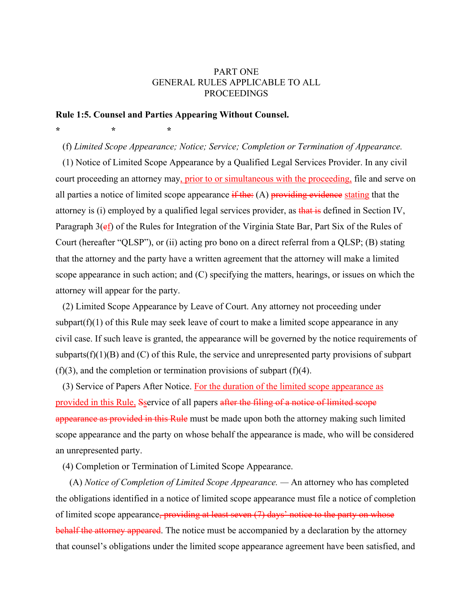## PART ONE GENERAL RULES APPLICABLE TO ALL PROCEEDINGS

## **Rule 1:5. Counsel and Parties Appearing Without Counsel.**

**\* \* \*** 

(f) *Limited Scope Appearance; Notice; Service; Completion or Termination of Appearance.*

(1) Notice of Limited Scope Appearance by a Qualified Legal Services Provider. In any civil court proceeding an attorney may, prior to or simultaneous with the proceeding, file and serve on all parties a notice of limited scope appearance  $\mathbf{if}$  the: (A) providing evidence stating that the attorney is (i) employed by a qualified legal services provider, as that is defined in Section IV, Paragraph 3(ef) of the Rules for Integration of the Virginia State Bar, Part Six of the Rules of Court (hereafter "QLSP"), or (ii) acting pro bono on a direct referral from a QLSP; (B) stating that the attorney and the party have a written agreement that the attorney will make a limited scope appearance in such action; and (C) specifying the matters, hearings, or issues on which the attorney will appear for the party.

(2) Limited Scope Appearance by Leave of Court. Any attorney not proceeding under subpart $(f)(1)$  of this Rule may seek leave of court to make a limited scope appearance in any civil case. If such leave is granted, the appearance will be governed by the notice requirements of subparts $(f)(1)(B)$  and  $(C)$  of this Rule, the service and unrepresented party provisions of subpart  $(f)(3)$ , and the completion or termination provisions of subpart  $(f)(4)$ .

(3) Service of Papers After Notice. For the duration of the limited scope appearance as provided in this Rule, Secrvice of all papers after the filing of a notice of limited scope appearance as provided in this Rule must be made upon both the attorney making such limited scope appearance and the party on whose behalf the appearance is made, who will be considered an unrepresented party.

(4) Completion or Termination of Limited Scope Appearance.

(A) *Notice of Completion of Limited Scope Appearance. —* An attorney who has completed the obligations identified in a notice of limited scope appearance must file a notice of completion of limited scope appearance, providing at least seven  $(7)$  days' notice to the party on whose behalf the attorney appeared. The notice must be accompanied by a declaration by the attorney that counsel's obligations under the limited scope appearance agreement have been satisfied, and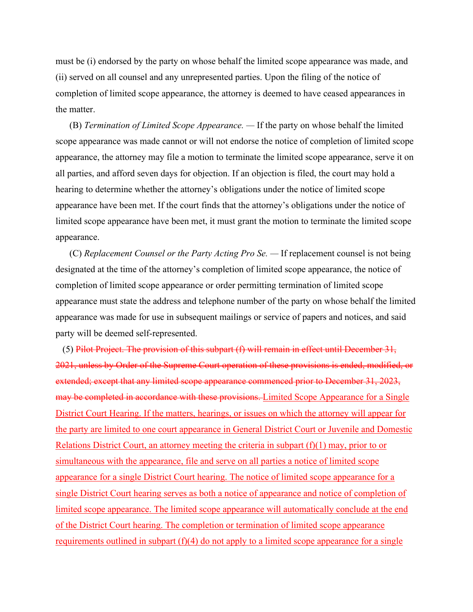must be (i) endorsed by the party on whose behalf the limited scope appearance was made, and (ii) served on all counsel and any unrepresented parties. Upon the filing of the notice of completion of limited scope appearance, the attorney is deemed to have ceased appearances in the matter.

(B) *Termination of Limited Scope Appearance. —* If the party on whose behalf the limited scope appearance was made cannot or will not endorse the notice of completion of limited scope appearance, the attorney may file a motion to terminate the limited scope appearance, serve it on all parties, and afford seven days for objection. If an objection is filed, the court may hold a hearing to determine whether the attorney's obligations under the notice of limited scope appearance have been met. If the court finds that the attorney's obligations under the notice of limited scope appearance have been met, it must grant the motion to terminate the limited scope appearance.

(C) *Replacement Counsel or the Party Acting Pro Se. —* If replacement counsel is not being designated at the time of the attorney's completion of limited scope appearance, the notice of completion of limited scope appearance or order permitting termination of limited scope appearance must state the address and telephone number of the party on whose behalf the limited appearance was made for use in subsequent mailings or service of papers and notices, and said party will be deemed self-represented.

(5) Pilot Project. The provision of this subpart  $(f)$  will remain in effect until December 31, 2021, unless by Order of the Supreme Court operation of these provisions is ended, modified, or extended; except that any limited scope appearance commenced prior to December 31, 2023, may be completed in accordance with these provisions. Limited Scope Appearance for a Single District Court Hearing. If the matters, hearings, or issues on which the attorney will appear for the party are limited to one court appearance in General District Court or Juvenile and Domestic Relations District Court, an attorney meeting the criteria in subpart  $(f)(1)$  may, prior to or simultaneous with the appearance, file and serve on all parties a notice of limited scope appearance for a single District Court hearing. The notice of limited scope appearance for a single District Court hearing serves as both a notice of appearance and notice of completion of limited scope appearance. The limited scope appearance will automatically conclude at the end of the District Court hearing. The completion or termination of limited scope appearance requirements outlined in subpart  $(f)(4)$  do not apply to a limited scope appearance for a single